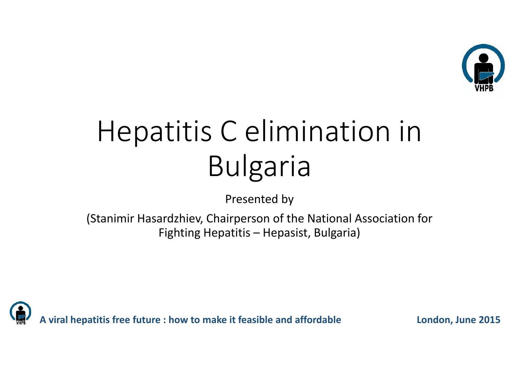

# Hepatitis C elimination in Bulgaria

Presented by

(Stanimir Hasardzhiev, Chairperson of the National Association for Fighting Hepatitis – Hepasist, Bulgaria)

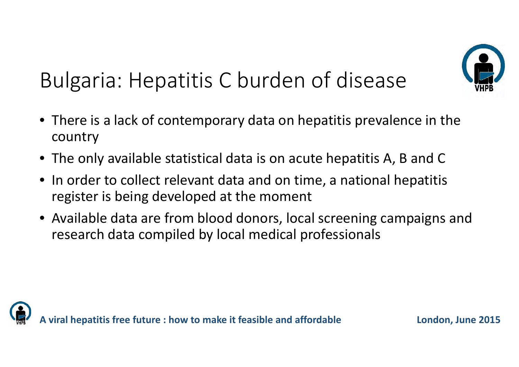

### Bulgaria: Hepatitis C burden of disease

- There is <sup>a</sup> lack of contemporary data on hepatitis prevalence in the country
- The only available statistical data is on acute hepatitis A, B and C
- $\bullet$  $\bullet\,$  In order to collect relevant data and on time, a national hepatitis register is being developed at the moment
- Available data are from blood donors, local screening campaigns and research data compiled by local medical professionals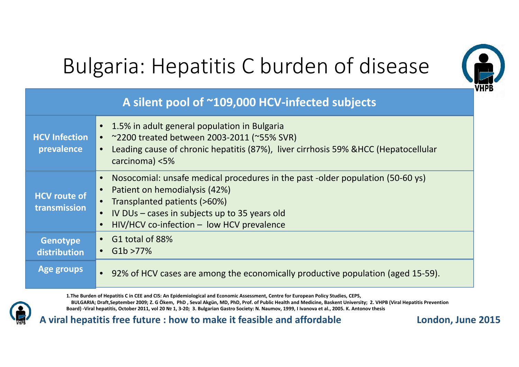

#### Bulgaria: Hepatitis C burden of disease

#### **A silent pool of ~109,000 HCV‐infected subjects HCV Infection prevalence** • 1.5% in adult general population in Bulgaria • ~2200 treated between 2003‐2011 (~55% SVR) • Leading cause of chronic hepatitis (87%), liver cirrhosis 59% &HCC (Hepatocellular carcinoma) <5% **HCV route of transmission**• Nosocomial: unsafe medical procedures in the past ‐older population (50‐60 ys) •• Patient on hemodialysis (42%) • Transplanted patients (>60%) • IV DUs – cases in subjects up to 35 years old •HIV/HCV co-infection – low HCV prevalence **Genotype distribution**• G1 total of 88%• $\bullet$  G1b >77% **Age groups** •● 92% of HCV cases are among the economically productive population (aged 15-59).

1.The Burden of Hepatitis C in CEE and CIS: An Epidemiological and Economic Assessment, Centre for European Policy Studies, CEPS, BULGARIA: Draft.September 2009: Z. G Ökem. PhD. Seval Akgün. MD. PhD. Prof. of Public Health and Medicine. Baskent University: 2. VHPB (Viral Hepatitis Prevention Board) -Viral hepatitis, October 2011, vol 20 № 1, 3-20; 3, Bulgarian Gastro Society: N. Naumov, 1999, I Ivanova et al., 2005, K. Antonov thesis

**A viral hepatitis free future : how to make it feasible and affordable London, June 2015**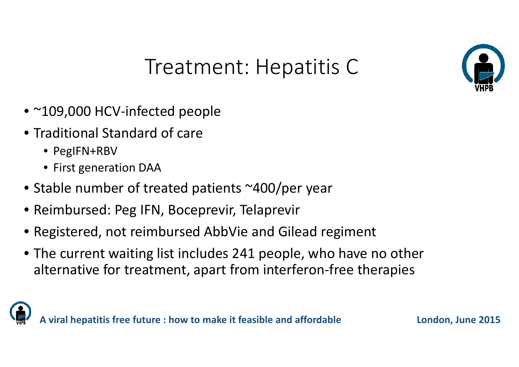

#### Treatment: Hepatitis C

- ~109,000 HCV‐infected people
- Traditional Standard of care
	- PegIFN+RBV
	- First generation DAA
- Stable number of treated patients ~400/per year
- Reimbursed: Peg IFN, Boceprevir, Telaprevir
- Registered, not reimbursed AbbVie and Gilead regiment
- The current waiting list includes 241 people, who have no other alternative for treatment, apart from interferon‐free therapies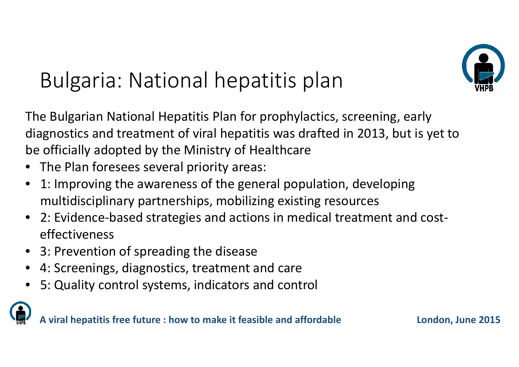

## Bulgaria: National hepatitis plan

The Bulgarian National Hepatitis Plan for prophylactics, screening, early diagnostics and treatment of viral hepatitis was drafted in 2013, but is yet to be officially adopted by the Ministry of Healthcare

- •The Plan foresees several priority areas:
- • 1: Improving the awareness of the general population, developing multidisciplinary partnerships, mobilizing existing resources
- 2: Evidence‐based strategies and actions in medical treatment and cost‐ effectiveness
- •3: Prevention of spreading the disease
- •4: Screenings, diagnostics, treatment and care
- •5: Quality control systems, indicators and control

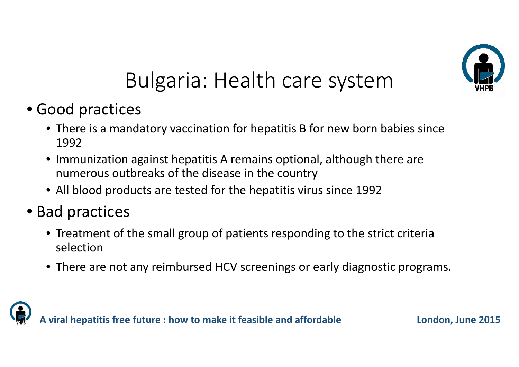

#### Bulgaria: Health care system

- Good practices
	- There is <sup>a</sup> mandatory vaccination for hepatitis B for new born babies since 1992
	- Immunization against hepatitis A remains optional, although there are numerous outbreaks of the disease in the country
	- All blood products are tested for the hepatitis virus since 1992
- Bad practices
	- Treatment of the small group of patients responding to the strict criteria selection
	- There are not any reimbursed HCV screenings or early diagnostic programs.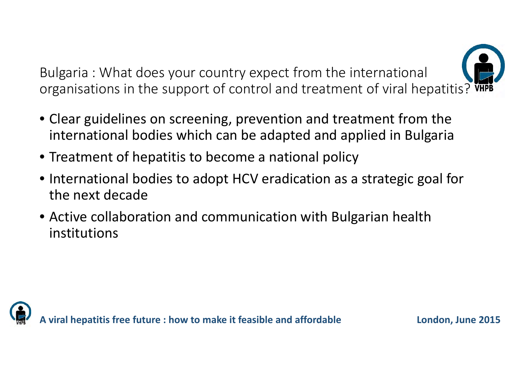Bulgaria : What does your country expect from the international organisations in the support of control and treatment of viral hepatitis?  $\ddot{w}$ 

- Clear guidelines on screening, prevention and treatment from the international bodies which can be adapted and applied in Bulgaria
- Treatment of hepatitis to become <sup>a</sup> national policy
- International bodies to adopt HCV eradication as <sup>a</sup> strategic goal for the next decade
- Active collaboration and communication with Bulgarian health institutions

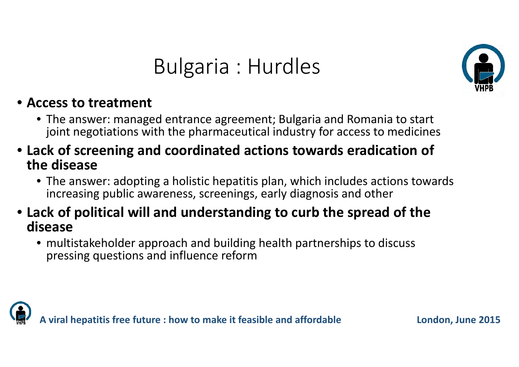#### Bulgaria : Hurdles



#### • **Access to treatment**

- The answer: managed entrance agreement; Bulgaria and Romania to start joint negotiations with the pharmaceutical industry for access to medicines
- **Lack of screening and coordinated actions towards eradication of the disease**
	- The answer: adopting <sup>a</sup> holistic hepatitis plan, which includes actions towards increasing public awareness, screenings, early diagnosis and other
- **Lack of political will and understanding to curb the spread of the disease**
	- multistakeholder approach and building health partnerships to discuss pressing questions and influence reform



**A viral hepatitis free future : how to make it feasible and affordable London, June 2015**